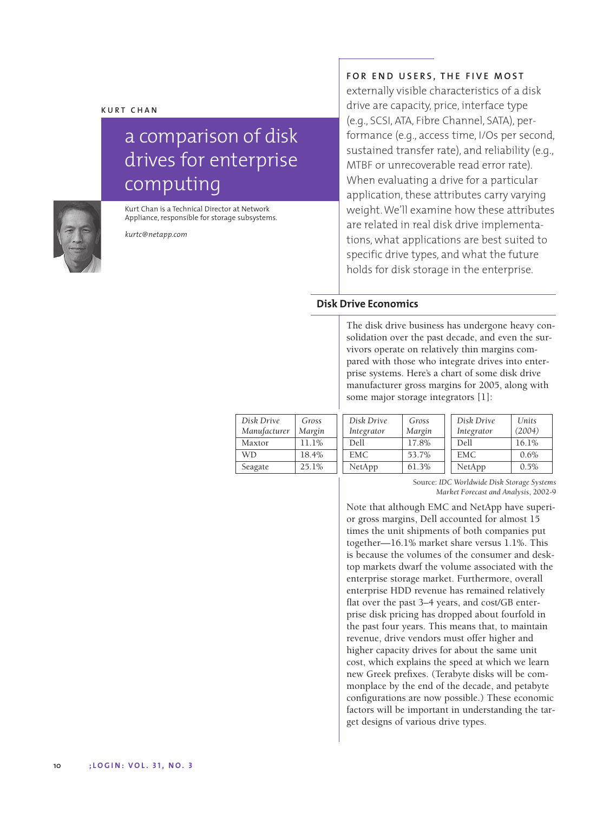# a comparison of disk drives for enterprise computing



Appliance, responsible for storage subsystems. *kurtc@netapp.com*

Kurt Chan is a Technical Director at Network

**FOR END USERS, THE FIVE MOST**

externally visible characteristics of a disk drive are capacity, price, interface type (e.g., SCSI, ATA, Fibre Channel, SATA), performance (e.g., access time, I/Os per second, sustained transfer rate), and reliability (e.g., MTBF or unrecoverable read error rate). When evaluating a drive for a particular application, these attributes carry varying weight. We'll examine how these attributes are related in real disk drive implementations, what applications are best suited to specific drive types, and what the future holds for disk storage in the enterprise.

## **Disk Drive Economics**

The disk drive business has undergone heavy consolidation over the past decade, and even the survivors operate on relatively thin margins compared with those who integrate drives into enterprise systems. Here's a chart of some disk drive manufacturer gross margins for 2005, along with some major storage integrators [1]:

| Disk Drive<br>Manufacturer | Gross<br>Margin | Disk Drive<br>Integrator | Gross<br>Margin | Disk Drive<br>Integrator | Units<br>(2004) |
|----------------------------|-----------------|--------------------------|-----------------|--------------------------|-----------------|
| Maxtor                     | 11.1%           | Dell                     | 17.8%           | Dell                     | 16.1%           |
| WD                         | 18.4%           | EMC.                     | 53.7%           | EMC.                     | 0.6%            |
| Seagate                    | 25.1%           | NetApp                   | 61.3%           | NetApp                   | 0.5%            |

Source: *IDC Worldwide Disk Storage Systems Market Forecast and Analysis*, 2002-9

Note that although EMC and NetApp have superior gross margins, Dell accounted for almost 15 times the unit shipments of both companies put together—16.1% market share versus 1.1%. This is because the volumes of the consumer and desktop markets dwarf the volume associated with the enterprise storage market. Furthermore, overall enterprise HDD revenue has remained relatively flat over the past 3–4 years, and cost/GB enterprise disk pricing has dropped about fourfold in the past four years. This means that, to maintain revenue, drive vendors must offer higher and higher capacity drives for about the same unit cost, which explains the speed at which we learn new Greek prefixes. (Terabyte disks will be commonplace by the end of the decade, and petabyte configurations are now possible.) These economic factors will be important in understanding the target designs of various drive types.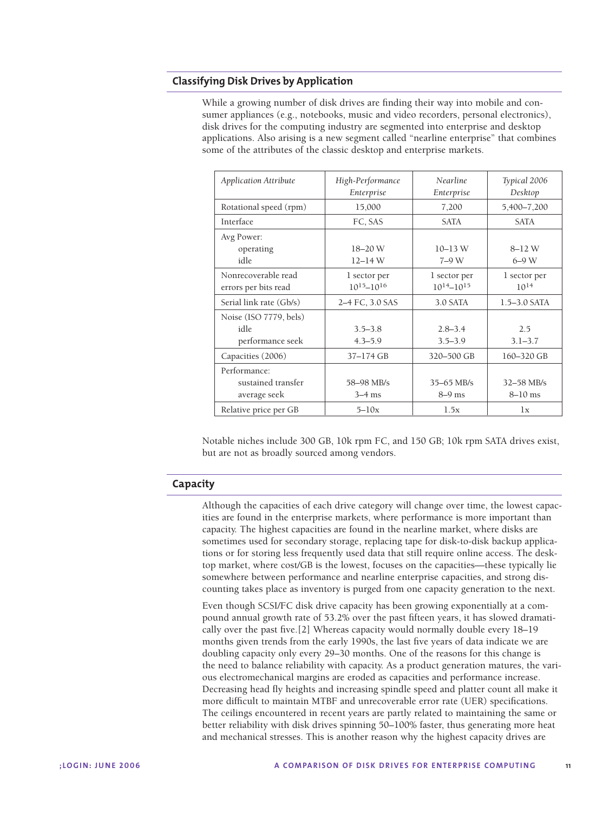## **Classifying Disk Drives by Application**

While a growing number of disk drives are finding their way into mobile and consumer appliances (e.g., notebooks, music and video recorders, personal electronics), disk drives for the computing industry are segmented into enterprise and desktop applications. Also arising is a new segment called "nearline enterprise" that combines some of the attributes of the classic desktop and enterprise markets.

| <b>Application Attribute</b>                       | High-Performance<br>Enterprise      | <b>Nearline</b><br>Enterprise       | Typical 2006<br>Desktop     |
|----------------------------------------------------|-------------------------------------|-------------------------------------|-----------------------------|
| Rotational speed (rpm)                             | 15,000                              | 7,200                               | 5,400-7,200                 |
| Interface                                          | FC, SAS                             | <b>SATA</b>                         | <b>SATA</b>                 |
| Avg Power:<br>operating<br>idle                    | 18-20 W<br>$12 - 14 W$              | $10 - 13$ W<br>$7-9W$               | $8 - 12 W$<br>$6-9$ W       |
| Nonrecoverable read<br>errors per bits read        | 1 sector per<br>$10^{15} - 10^{16}$ | 1 sector per<br>$10^{14} - 10^{15}$ | 1 sector per<br>$10^{14}$   |
| Serial link rate (Gb/s)                            | 2–4 FC, 3.0 SAS                     | 3.0 SATA                            | $1.5 - 3.0$ SATA            |
| Noise (ISO 7779, bels)<br>idle<br>performance seek | $3.5 - 3.8$<br>$4.3 - 5.9$          | $2.8 - 3.4$<br>$3.5 - 3.9$          | 2.5<br>$3.1 - 3.7$          |
| Capacities (2006)                                  | 37-174 GB                           | 320-500 GB                          | 160-320 GB                  |
| Performance:<br>sustained transfer<br>average seek | 58-98 MB/s<br>$3-4$ ms              | $35 - 65$ MB/s<br>$8-9$ ms          | $32 - 58$ MB/s<br>$8-10$ ms |
| Relative price per GB                              | $5 - 10x$                           | 1.5x                                | 1x                          |

Notable niches include 300 GB, 10k rpm FC, and 150 GB; 10k rpm SATA drives exist, but are not as broadly sourced among vendors.

#### **Capacity**

Although the capacities of each drive category will change over time, the lowest capacities are found in the enterprise markets, where performance is more important than capacity. The highest capacities are found in the nearline market, where disks are sometimes used for secondary storage, replacing tape for disk-to-disk backup applications or for storing less frequently used data that still require online access. The desktop market, where cost/GB is the lowest, focuses on the capacities—these typically lie somewhere between performance and nearline enterprise capacities, and strong discounting takes place as inventory is purged from one capacity generation to the next.

Even though SCSI/FC disk drive capacity has been growing exponentially at a compound annual growth rate of 53.2% over the past fifteen years, it has slowed dramatically over the past five.[2] Whereas capacity would normally double every 18–19 months given trends from the early 1990s, the last five years of data indicate we are doubling capacity only every 29–30 months. One of the reasons for this change is the need to balance reliability with capacity. As a product generation matures, the various electromechanical margins are eroded as capacities and performance increase. Decreasing head fly heights and increasing spindle speed and platter count all make it more difficult to maintain MTBF and unrecoverable error rate (UER) specifications. The ceilings encountered in recent years are partly related to maintaining the same or better reliability with disk drives spinning 50–100% faster, thus generating more heat and mechanical stresses. This is another reason why the highest capacity drives are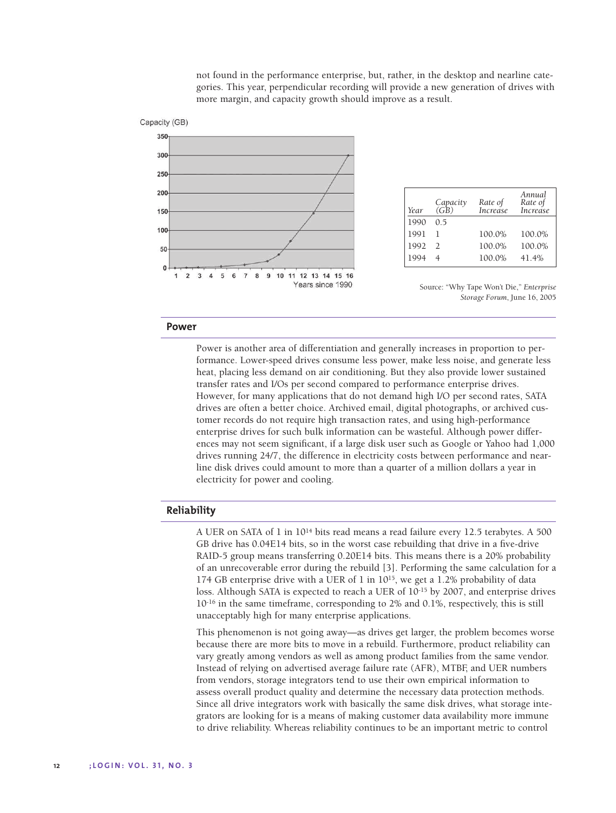not found in the performance enterprise, but, rather, in the desktop and nearline categories. This year, perpendicular recording will provide a new generation of drives with more margin, and capacity growth should improve as a result.



| Year | Capacity<br>(GB) | Rate of<br>Increase | Annual<br>Rate of<br>Increase |
|------|------------------|---------------------|-------------------------------|
| 1990 | 05               |                     |                               |
| 1991 |                  | 100.0%              | 100.0%                        |
| 1992 | $\mathcal{D}$    | 100.0%              | 100.0%                        |
| 1994 |                  | 100.0%              | 41.4%                         |

Source: "Why Tape Won't Die," *Enterprise Storage Forum*, June 16, 2005

#### **Power**

Power is another area of differentiation and generally increases in proportion to performance. Lower-speed drives consume less power, make less noise, and generate less heat, placing less demand on air conditioning. But they also provide lower sustained transfer rates and I/Os per second compared to performance enterprise drives. However, for many applications that do not demand high I/O per second rates, SATA drives are often a better choice. Archived email, digital photographs, or archived customer records do not require high transaction rates, and using high-performance enterprise drives for such bulk information can be wasteful. Although power differences may not seem significant, if a large disk user such as Google or Yahoo had 1,000 drives running 24/7, the difference in electricity costs between performance and nearline disk drives could amount to more than a quarter of a million dollars a year in electricity for power and cooling.

### **Reliability**

A UER on SATA of 1 in 1014 bits read means a read failure every 12.5 terabytes. A 500 GB drive has 0.04E14 bits, so in the worst case rebuilding that drive in a five-drive RAID-5 group means transferring 0.20E14 bits. This means there is a 20% probability of an unrecoverable error during the rebuild [3]. Performing the same calculation for a 174 GB enterprise drive with a UER of 1 in 1015, we get a 1.2% probability of data loss. Although SATA is expected to reach a UER of 10-15 by 2007, and enterprise drives 10-16 in the same timeframe, corresponding to 2% and 0.1%, respectively, this is still unacceptably high for many enterprise applications.

This phenomenon is not going away—as drives get larger, the problem becomes worse because there are more bits to move in a rebuild. Furthermore, product reliability can vary greatly among vendors as well as among product families from the same vendor. Instead of relying on advertised average failure rate (AFR), MTBF, and UER numbers from vendors, storage integrators tend to use their own empirical information to assess overall product quality and determine the necessary data protection methods. Since all drive integrators work with basically the same disk drives, what storage integrators are looking for is a means of making customer data availability more immune to drive reliability. Whereas reliability continues to be an important metric to control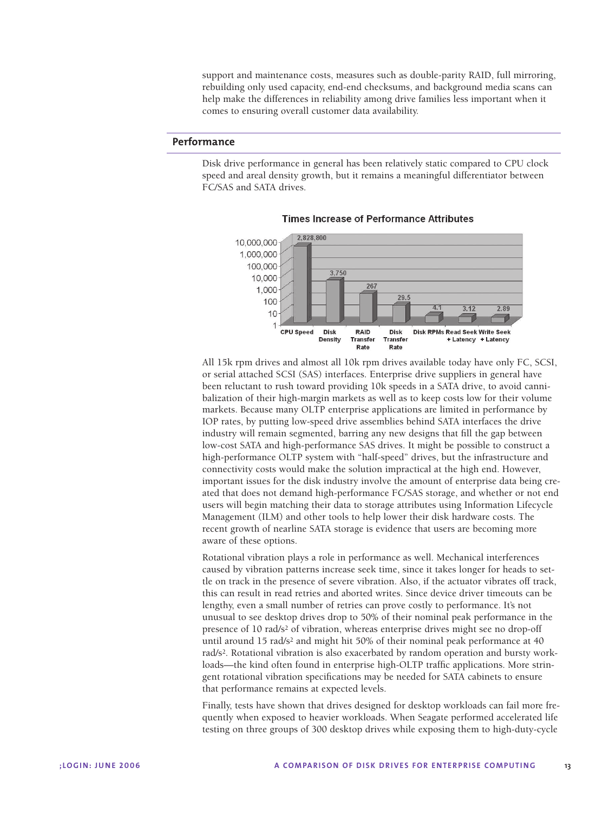support and maintenance costs, measures such as double-parity RAID, full mirroring, rebuilding only used capacity, end-end checksums, and background media scans can help make the differences in reliability among drive families less important when it comes to ensuring overall customer data availability.

## **Performance**

Disk drive performance in general has been relatively static compared to CPU clock speed and areal density growth, but it remains a meaningful differentiator between FC/SAS and SATA drives.



**Times Increase of Performance Attributes** 

All 15k rpm drives and almost all 10k rpm drives available today have only FC, SCSI, or serial attached SCSI (SAS) interfaces. Enterprise drive suppliers in general have been reluctant to rush toward providing 10k speeds in a SATA drive, to avoid cannibalization of their high-margin markets as well as to keep costs low for their volume markets. Because many OLTP enterprise applications are limited in performance by IOP rates, by putting low-speed drive assemblies behind SATA interfaces the drive industry will remain segmented, barring any new designs that fill the gap between low-cost SATA and high-performance SAS drives. It might be possible to construct a high-performance OLTP system with "half-speed" drives, but the infrastructure and connectivity costs would make the solution impractical at the high end. However, important issues for the disk industry involve the amount of enterprise data being created that does not demand high-performance FC/SAS storage, and whether or not end users will begin matching their data to storage attributes using Information Lifecycle Management (ILM) and other tools to help lower their disk hardware costs. The recent growth of nearline SATA storage is evidence that users are becoming more aware of these options.

Rotational vibration plays a role in performance as well. Mechanical interferences caused by vibration patterns increase seek time, since it takes longer for heads to settle on track in the presence of severe vibration. Also, if the actuator vibrates off track, this can result in read retries and aborted writes. Since device driver timeouts can be lengthy, even a small number of retries can prove costly to performance. It's not unusual to see desktop drives drop to 50% of their nominal peak performance in the presence of 10 rad/s2 of vibration, whereas enterprise drives might see no drop-off until around 15 rad/s<sup>2</sup> and might hit 50% of their nominal peak performance at 40 rad/s2. Rotational vibration is also exacerbated by random operation and bursty workloads—the kind often found in enterprise high-OLTP traffic applications. More stringent rotational vibration specifications may be needed for SATA cabinets to ensure that performance remains at expected levels.

Finally, tests have shown that drives designed for desktop workloads can fail more frequently when exposed to heavier workloads. When Seagate performed accelerated life testing on three groups of 300 desktop drives while exposing them to high-duty-cycle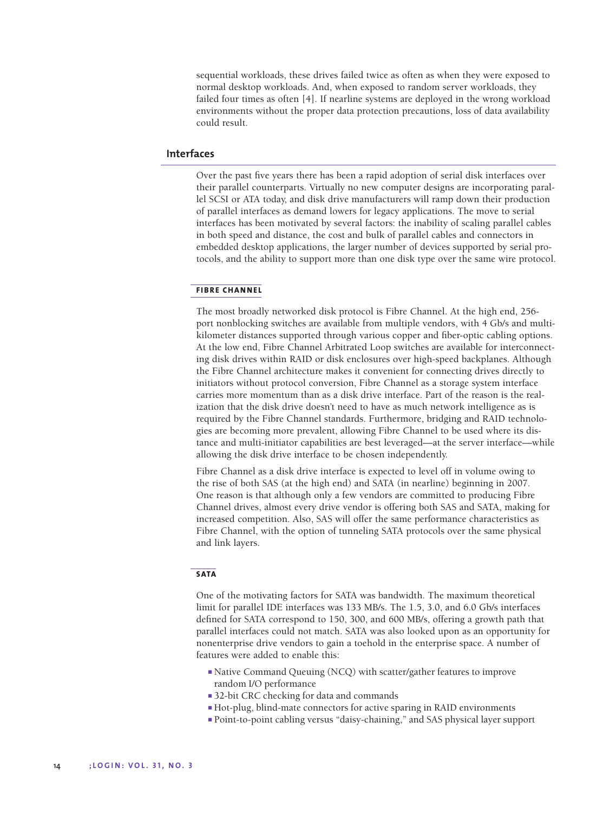sequential workloads, these drives failed twice as often as when they were exposed to normal desktop workloads. And, when exposed to random server workloads, they failed four times as often [4]. If nearline systems are deployed in the wrong workload environments without the proper data protection precautions, loss of data availability could result.

### **Interfaces**

Over the past five years there has been a rapid adoption of serial disk interfaces over their parallel counterparts. Virtually no new computer designs are incorporating parallel SCSI or ATA today, and disk drive manufacturers will ramp down their production of parallel interfaces as demand lowers for legacy applications. The move to serial interfaces has been motivated by several factors: the inability of scaling parallel cables in both speed and distance, the cost and bulk of parallel cables and connectors in embedded desktop applications, the larger number of devices supported by serial protocols, and the ability to support more than one disk type over the same wire protocol.

#### **FIBRE CHANNEL**

The most broadly networked disk protocol is Fibre Channel. At the high end, 256 port nonblocking switches are available from multiple vendors, with 4 Gb/s and multikilometer distances supported through various copper and fiber-optic cabling options. At the low end, Fibre Channel Arbitrated Loop switches are available for interconnecting disk drives within RAID or disk enclosures over high-speed backplanes. Although the Fibre Channel architecture makes it convenient for connecting drives directly to initiators without protocol conversion, Fibre Channel as a storage system interface carries more momentum than as a disk drive interface. Part of the reason is the realization that the disk drive doesn't need to have as much network intelligence as is required by the Fibre Channel standards. Furthermore, bridging and RAID technologies are becoming more prevalent, allowing Fibre Channel to be used where its distance and multi-initiator capabilities are best leveraged—at the server interface—while allowing the disk drive interface to be chosen independently.

Fibre Channel as a disk drive interface is expected to level off in volume owing to the rise of both SAS (at the high end) and SATA (in nearline) beginning in 2007. One reason is that although only a few vendors are committed to producing Fibre Channel drives, almost every drive vendor is offering both SAS and SATA, making for increased competition. Also, SAS will offer the same performance characteristics as Fibre Channel, with the option of tunneling SATA protocols over the same physical and link layers.

#### **SATA**

One of the motivating factors for SATA was bandwidth. The maximum theoretical limit for parallel IDE interfaces was 133 MB/s. The 1.5, 3.0, and 6.0 Gb/s interfaces defined for SATA correspond to 150, 300, and 600 MB/s, offering a growth path that parallel interfaces could not match. SATA was also looked upon as an opportunity for nonenterprise drive vendors to gain a toehold in the enterprise space. A number of features were added to enable this:

- Native Command Queuing (NCQ) with scatter/gather features to improve random I/O performance
- 32-bit CRC checking for data and commands
- Hot-plug, blind-mate connectors for active sparing in RAID environments
- Point-to-point cabling versus "daisy-chaining," and SAS physical layer support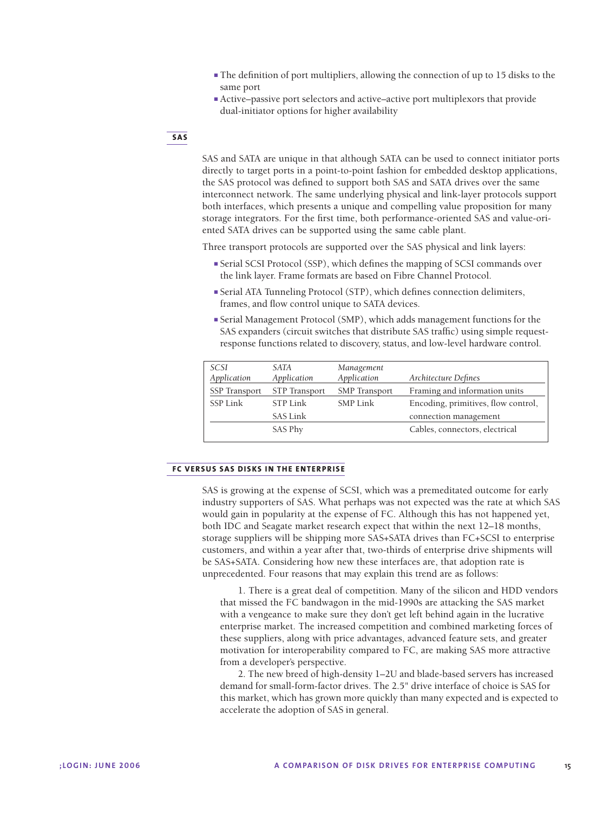- The definition of port multipliers, allowing the connection of up to 15 disks to the same port
- Active–passive port selectors and active–active port multiplexors that provide dual-initiator options for higher availability

#### **SAS**

SAS and SATA are unique in that although SATA can be used to connect initiator ports directly to target ports in a point-to-point fashion for embedded desktop applications, the SAS protocol was defined to support both SAS and SATA drives over the same interconnect network. The same underlying physical and link-layer protocols support both interfaces, which presents a unique and compelling value proposition for many storage integrators. For the first time, both performance-oriented SAS and value-oriented SATA drives can be supported using the same cable plant.

Three transport protocols are supported over the SAS physical and link layers:

- Serial SCSI Protocol (SSP), which defines the mapping of SCSI commands over the link layer. Frame formats are based on Fibre Channel Protocol.
- Serial ATA Tunneling Protocol (STP), which defines connection delimiters, frames, and flow control unique to SATA devices.
- Serial Management Protocol (SMP), which adds management functions for the SAS expanders (circuit switches that distribute SAS traffic) using simple requestresponse functions related to discovery, status, and low-level hardware control.

| SCSI<br>Application  | SATA<br>Application  | Management<br>Application | Architecture Defines                |
|----------------------|----------------------|---------------------------|-------------------------------------|
| <b>SSP</b> Transport | <b>STP</b> Transport | <b>SMP</b> Transport      | Framing and information units       |
| SSP Link             | STP Link             | <b>SMP Link</b>           | Encoding, primitives, flow control, |
|                      | <b>SAS Link</b>      |                           | connection management               |
|                      | SAS Phy              |                           | Cables, connectors, electrical      |
|                      |                      |                           |                                     |

#### **FC VERSUS SAS DISKS IN THE ENTERPRISE**

SAS is growing at the expense of SCSI, which was a premeditated outcome for early industry supporters of SAS. What perhaps was not expected was the rate at which SAS would gain in popularity at the expense of FC. Although this has not happened yet, both IDC and Seagate market research expect that within the next 12–18 months, storage suppliers will be shipping more SAS+SATA drives than FC+SCSI to enterprise customers, and within a year after that, two-thirds of enterprise drive shipments will be SAS+SATA. Considering how new these interfaces are, that adoption rate is unprecedented. Four reasons that may explain this trend are as follows:

1. There is a great deal of competition. Many of the silicon and HDD vendors that missed the FC bandwagon in the mid-1990s are attacking the SAS market with a vengeance to make sure they don't get left behind again in the lucrative enterprise market. The increased competition and combined marketing forces of these suppliers, along with price advantages, advanced feature sets, and greater motivation for interoperability compared to FC, are making SAS more attractive from a developer's perspective.

2. The new breed of high-density 1–2U and blade-based servers has increased demand for small-form-factor drives. The 2.5" drive interface of choice is SAS for this market, which has grown more quickly than many expected and is expected to accelerate the adoption of SAS in general.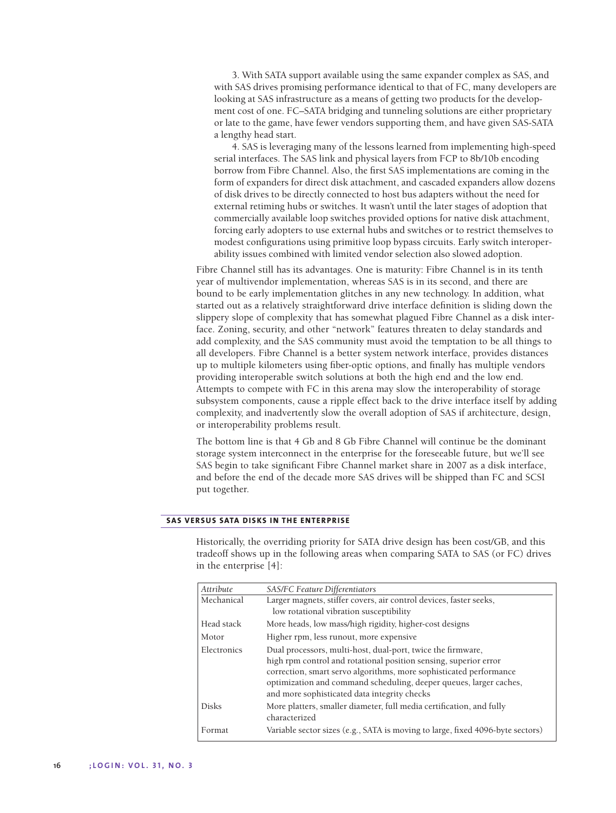3. With SATA support available using the same expander complex as SAS, and with SAS drives promising performance identical to that of FC, many developers are looking at SAS infrastructure as a means of getting two products for the development cost of one. FC–SATA bridging and tunneling solutions are either proprietary or late to the game, have fewer vendors supporting them, and have given SAS-SATA a lengthy head start.

4. SAS is leveraging many of the lessons learned from implementing high-speed serial interfaces. The SAS link and physical layers from FCP to 8b/10b encoding borrow from Fibre Channel. Also, the first SAS implementations are coming in the form of expanders for direct disk attachment, and cascaded expanders allow dozens of disk drives to be directly connected to host bus adapters without the need for external retiming hubs or switches. It wasn't until the later stages of adoption that commercially available loop switches provided options for native disk attachment, forcing early adopters to use external hubs and switches or to restrict themselves to modest configurations using primitive loop bypass circuits. Early switch interoperability issues combined with limited vendor selection also slowed adoption.

Fibre Channel still has its advantages. One is maturity: Fibre Channel is in its tenth year of multivendor implementation, whereas SAS is in its second, and there are bound to be early implementation glitches in any new technology. In addition, what started out as a relatively straightforward drive interface definition is sliding down the slippery slope of complexity that has somewhat plagued Fibre Channel as a disk interface. Zoning, security, and other "network" features threaten to delay standards and add complexity, and the SAS community must avoid the temptation to be all things to all developers. Fibre Channel is a better system network interface, provides distances up to multiple kilometers using fiber-optic options, and finally has multiple vendors providing interoperable switch solutions at both the high end and the low end. Attempts to compete with FC in this arena may slow the interoperability of storage subsystem components, cause a ripple effect back to the drive interface itself by adding complexity, and inadvertently slow the overall adoption of SAS if architecture, design, or interoperability problems result.

The bottom line is that 4 Gb and 8 Gb Fibre Channel will continue be the dominant storage system interconnect in the enterprise for the foreseeable future, but we'll see SAS begin to take significant Fibre Channel market share in 2007 as a disk interface, and before the end of the decade more SAS drives will be shipped than FC and SCSI put together.

#### **SAS VERSUS SATA DISKS IN THE ENTERPRISE**

Historically, the overriding priority for SATA drive design has been cost/GB, and this tradeoff shows up in the following areas when comparing SATA to SAS (or FC) drives in the enterprise [4]:

| Attribute    | SAS/FC Feature Differentiators                                                                                                                                                                                                                                                                                              |
|--------------|-----------------------------------------------------------------------------------------------------------------------------------------------------------------------------------------------------------------------------------------------------------------------------------------------------------------------------|
| Mechanical   | Larger magnets, stiffer covers, air control devices, faster seeks,                                                                                                                                                                                                                                                          |
|              | low rotational vibration susceptibility                                                                                                                                                                                                                                                                                     |
| Head stack   | More heads, low mass/high rigidity, higher-cost designs                                                                                                                                                                                                                                                                     |
| Motor        | Higher rpm, less runout, more expensive                                                                                                                                                                                                                                                                                     |
| Electronics  | Dual processors, multi-host, dual-port, twice the firmware,<br>high rpm control and rotational position sensing, superior error<br>correction, smart servo algorithms, more sophisticated performance<br>optimization and command scheduling, deeper queues, larger caches,<br>and more sophisticated data integrity checks |
| <b>Disks</b> | More platters, smaller diameter, full media certification, and fully<br>characterized                                                                                                                                                                                                                                       |
| Format       | Variable sector sizes (e.g., SATA is moving to large, fixed 4096-byte sectors)                                                                                                                                                                                                                                              |